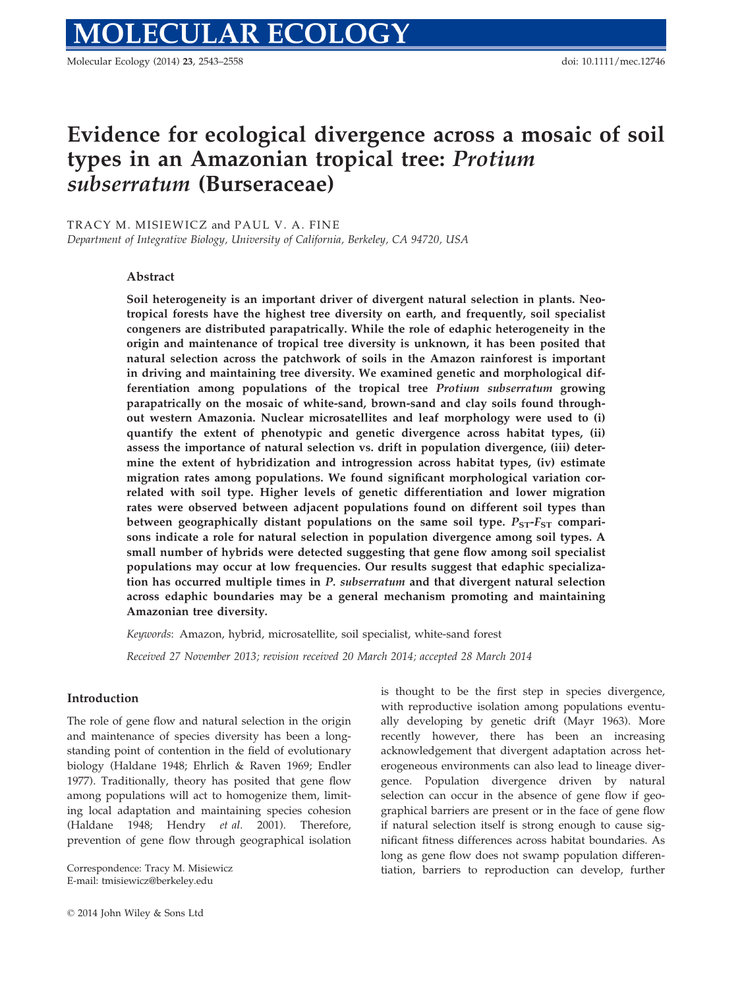Molecular Ecology (2014) 23, 2543–2558 doi: 10.1111/mec.12746

# Evidence for ecological divergence across a mosaic of soil types in an Amazonian tropical tree: Protium subserratum (Burseraceae)

TRACY M. MISIEWICZ and PAUL V. A. FINE

Department of Integrative Biology, University of California, Berkeley, CA 94720, USA

## Abstract

Soil heterogeneity is an important driver of divergent natural selection in plants. Neotropical forests have the highest tree diversity on earth, and frequently, soil specialist congeners are distributed parapatrically. While the role of edaphic heterogeneity in the origin and maintenance of tropical tree diversity is unknown, it has been posited that natural selection across the patchwork of soils in the Amazon rainforest is important in driving and maintaining tree diversity. We examined genetic and morphological differentiation among populations of the tropical tree Protium subserratum growing parapatrically on the mosaic of white-sand, brown-sand and clay soils found throughout western Amazonia. Nuclear microsatellites and leaf morphology were used to (i) quantify the extent of phenotypic and genetic divergence across habitat types, (ii) assess the importance of natural selection vs. drift in population divergence, (iii) determine the extent of hybridization and introgression across habitat types, (iv) estimate migration rates among populations. We found significant morphological variation correlated with soil type. Higher levels of genetic differentiation and lower migration rates were observed between adjacent populations found on different soil types than between geographically distant populations on the same soil type.  $P_{ST}$ - $F_{ST}$  comparisons indicate a role for natural selection in population divergence among soil types. A small number of hybrids were detected suggesting that gene flow among soil specialist populations may occur at low frequencies. Our results suggest that edaphic specialization has occurred multiple times in P. subserratum and that divergent natural selection across edaphic boundaries may be a general mechanism promoting and maintaining Amazonian tree diversity.

Keywords: Amazon, hybrid, microsatellite, soil specialist, white-sand forest

Received 27 November 2013; revision received 20 March 2014; accepted 28 March 2014

## Introduction

The role of gene flow and natural selection in the origin and maintenance of species diversity has been a longstanding point of contention in the field of evolutionary biology (Haldane 1948; Ehrlich & Raven 1969; Endler 1977). Traditionally, theory has posited that gene flow among populations will act to homogenize them, limiting local adaptation and maintaining species cohesion (Haldane 1948; Hendry et al. 2001). Therefore, prevention of gene flow through geographical isolation

E-mail: tmisiewicz@berkeley.edu

is thought to be the first step in species divergence, with reproductive isolation among populations eventually developing by genetic drift (Mayr 1963). More recently however, there has been an increasing acknowledgement that divergent adaptation across heterogeneous environments can also lead to lineage divergence. Population divergence driven by natural selection can occur in the absence of gene flow if geographical barriers are present or in the face of gene flow if natural selection itself is strong enough to cause significant fitness differences across habitat boundaries. As long as gene flow does not swamp population differen-Correspondence: Tracy M. Misiewicz tiation, barriers to reproduction can develop, further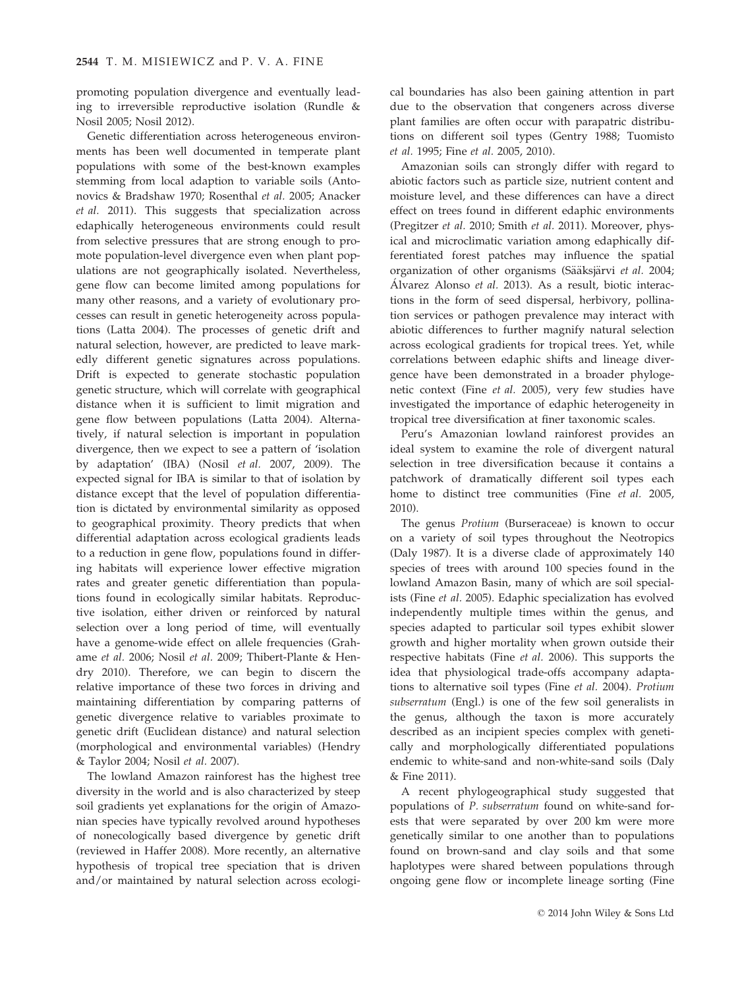promoting population divergence and eventually leading to irreversible reproductive isolation (Rundle & Nosil 2005; Nosil 2012).

Genetic differentiation across heterogeneous environments has been well documented in temperate plant populations with some of the best-known examples stemming from local adaption to variable soils (Antonovics & Bradshaw 1970; Rosenthal et al. 2005; Anacker et al. 2011). This suggests that specialization across edaphically heterogeneous environments could result from selective pressures that are strong enough to promote population-level divergence even when plant populations are not geographically isolated. Nevertheless, gene flow can become limited among populations for many other reasons, and a variety of evolutionary processes can result in genetic heterogeneity across populations (Latta 2004). The processes of genetic drift and natural selection, however, are predicted to leave markedly different genetic signatures across populations. Drift is expected to generate stochastic population genetic structure, which will correlate with geographical distance when it is sufficient to limit migration and gene flow between populations (Latta 2004). Alternatively, if natural selection is important in population divergence, then we expect to see a pattern of 'isolation by adaptation' (IBA) (Nosil et al. 2007, 2009). The expected signal for IBA is similar to that of isolation by distance except that the level of population differentiation is dictated by environmental similarity as opposed to geographical proximity. Theory predicts that when differential adaptation across ecological gradients leads to a reduction in gene flow, populations found in differing habitats will experience lower effective migration rates and greater genetic differentiation than populations found in ecologically similar habitats. Reproductive isolation, either driven or reinforced by natural selection over a long period of time, will eventually have a genome-wide effect on allele frequencies (Grahame et al. 2006; Nosil et al. 2009; Thibert-Plante & Hendry 2010). Therefore, we can begin to discern the relative importance of these two forces in driving and maintaining differentiation by comparing patterns of genetic divergence relative to variables proximate to genetic drift (Euclidean distance) and natural selection (morphological and environmental variables) (Hendry & Taylor 2004; Nosil et al. 2007).

The lowland Amazon rainforest has the highest tree diversity in the world and is also characterized by steep soil gradients yet explanations for the origin of Amazonian species have typically revolved around hypotheses of nonecologically based divergence by genetic drift (reviewed in Haffer 2008). More recently, an alternative hypothesis of tropical tree speciation that is driven and/or maintained by natural selection across ecologi-

cal boundaries has also been gaining attention in part due to the observation that congeners across diverse plant families are often occur with parapatric distributions on different soil types (Gentry 1988; Tuomisto et al. 1995; Fine et al. 2005, 2010).

Amazonian soils can strongly differ with regard to abiotic factors such as particle size, nutrient content and moisture level, and these differences can have a direct effect on trees found in different edaphic environments (Pregitzer et al. 2010; Smith et al. 2011). Moreover, physical and microclimatic variation among edaphically differentiated forest patches may influence the spatial organization of other organisms (Sääksjärvi et al. 2004; Álvarez Alonso et al. 2013). As a result, biotic interactions in the form of seed dispersal, herbivory, pollination services or pathogen prevalence may interact with abiotic differences to further magnify natural selection across ecological gradients for tropical trees. Yet, while correlations between edaphic shifts and lineage divergence have been demonstrated in a broader phylogenetic context (Fine et al. 2005), very few studies have investigated the importance of edaphic heterogeneity in tropical tree diversification at finer taxonomic scales.

Peru's Amazonian lowland rainforest provides an ideal system to examine the role of divergent natural selection in tree diversification because it contains a patchwork of dramatically different soil types each home to distinct tree communities (Fine et al. 2005, 2010).

The genus Protium (Burseraceae) is known to occur on a variety of soil types throughout the Neotropics (Daly 1987). It is a diverse clade of approximately 140 species of trees with around 100 species found in the lowland Amazon Basin, many of which are soil specialists (Fine et al. 2005). Edaphic specialization has evolved independently multiple times within the genus, and species adapted to particular soil types exhibit slower growth and higher mortality when grown outside their respective habitats (Fine et al. 2006). This supports the idea that physiological trade-offs accompany adaptations to alternative soil types (Fine et al. 2004). Protium subserratum (Engl.) is one of the few soil generalists in the genus, although the taxon is more accurately described as an incipient species complex with genetically and morphologically differentiated populations endemic to white-sand and non-white-sand soils (Daly & Fine 2011).

A recent phylogeographical study suggested that populations of P. subserratum found on white-sand forests that were separated by over 200 km were more genetically similar to one another than to populations found on brown-sand and clay soils and that some haplotypes were shared between populations through ongoing gene flow or incomplete lineage sorting (Fine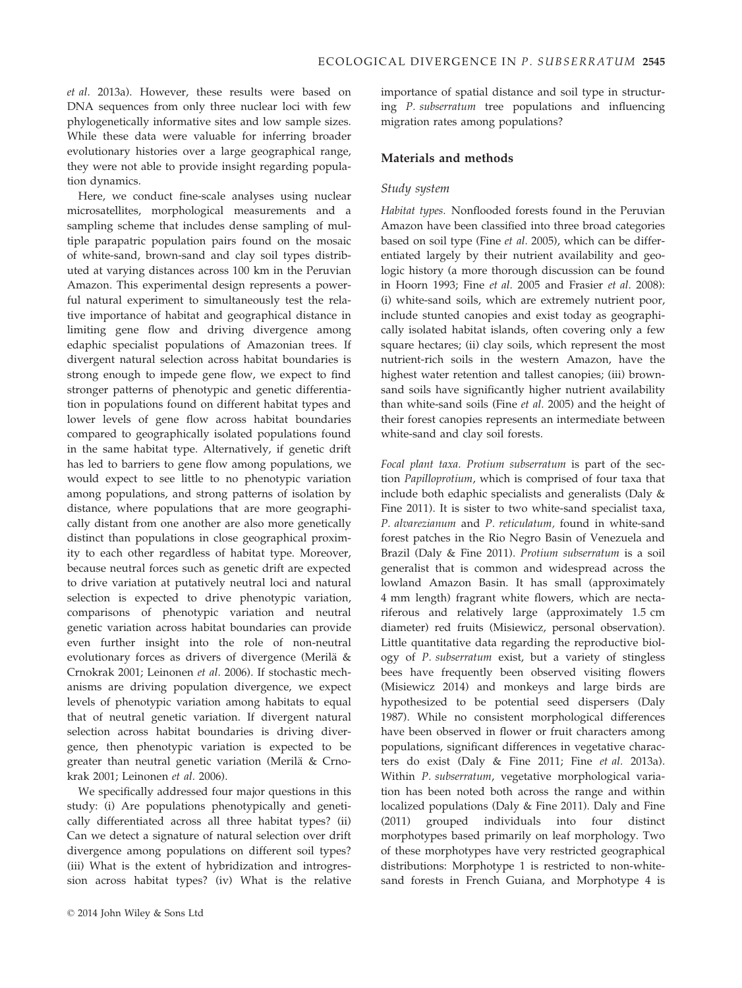et al. 2013a). However, these results were based on DNA sequences from only three nuclear loci with few phylogenetically informative sites and low sample sizes. While these data were valuable for inferring broader evolutionary histories over a large geographical range, they were not able to provide insight regarding population dynamics.

Here, we conduct fine-scale analyses using nuclear microsatellites, morphological measurements and a sampling scheme that includes dense sampling of multiple parapatric population pairs found on the mosaic of white-sand, brown-sand and clay soil types distributed at varying distances across 100 km in the Peruvian Amazon. This experimental design represents a powerful natural experiment to simultaneously test the relative importance of habitat and geographical distance in limiting gene flow and driving divergence among edaphic specialist populations of Amazonian trees. If divergent natural selection across habitat boundaries is strong enough to impede gene flow, we expect to find stronger patterns of phenotypic and genetic differentiation in populations found on different habitat types and lower levels of gene flow across habitat boundaries compared to geographically isolated populations found in the same habitat type. Alternatively, if genetic drift has led to barriers to gene flow among populations, we would expect to see little to no phenotypic variation among populations, and strong patterns of isolation by distance, where populations that are more geographically distant from one another are also more genetically distinct than populations in close geographical proximity to each other regardless of habitat type. Moreover, because neutral forces such as genetic drift are expected to drive variation at putatively neutral loci and natural selection is expected to drive phenotypic variation, comparisons of phenotypic variation and neutral genetic variation across habitat boundaries can provide even further insight into the role of non-neutral evolutionary forces as drivers of divergence (Merilä & Crnokrak 2001; Leinonen et al. 2006). If stochastic mechanisms are driving population divergence, we expect levels of phenotypic variation among habitats to equal that of neutral genetic variation. If divergent natural selection across habitat boundaries is driving divergence, then phenotypic variation is expected to be greater than neutral genetic variation (Merilä & Crnokrak 2001; Leinonen et al. 2006).

We specifically addressed four major questions in this study: (i) Are populations phenotypically and genetically differentiated across all three habitat types? (ii) Can we detect a signature of natural selection over drift divergence among populations on different soil types? (iii) What is the extent of hybridization and introgression across habitat types? (iv) What is the relative importance of spatial distance and soil type in structuring P. subserratum tree populations and influencing migration rates among populations?

## Materials and methods

## Study system

Habitat types. Nonflooded forests found in the Peruvian Amazon have been classified into three broad categories based on soil type (Fine et al. 2005), which can be differentiated largely by their nutrient availability and geologic history (a more thorough discussion can be found in Hoorn 1993; Fine et al. 2005 and Frasier et al. 2008): (i) white-sand soils, which are extremely nutrient poor, include stunted canopies and exist today as geographically isolated habitat islands, often covering only a few square hectares; (ii) clay soils, which represent the most nutrient-rich soils in the western Amazon, have the highest water retention and tallest canopies; (iii) brownsand soils have significantly higher nutrient availability than white-sand soils (Fine et al. 2005) and the height of their forest canopies represents an intermediate between white-sand and clay soil forests.

Focal plant taxa. Protium subserratum is part of the section Papilloprotium, which is comprised of four taxa that include both edaphic specialists and generalists (Daly & Fine 2011). It is sister to two white-sand specialist taxa, P. alvarezianum and P. reticulatum, found in white-sand forest patches in the Rio Negro Basin of Venezuela and Brazil (Daly & Fine 2011). Protium subserratum is a soil generalist that is common and widespread across the lowland Amazon Basin. It has small (approximately 4 mm length) fragrant white flowers, which are nectariferous and relatively large (approximately 1.5 cm diameter) red fruits (Misiewicz, personal observation). Little quantitative data regarding the reproductive biology of P. subserratum exist, but a variety of stingless bees have frequently been observed visiting flowers (Misiewicz 2014) and monkeys and large birds are hypothesized to be potential seed dispersers (Daly 1987). While no consistent morphological differences have been observed in flower or fruit characters among populations, significant differences in vegetative characters do exist (Daly & Fine 2011; Fine et al. 2013a). Within P. subserratum, vegetative morphological variation has been noted both across the range and within localized populations (Daly & Fine 2011). Daly and Fine (2011) grouped individuals into four distinct morphotypes based primarily on leaf morphology. Two of these morphotypes have very restricted geographical distributions: Morphotype 1 is restricted to non-whitesand forests in French Guiana, and Morphotype 4 is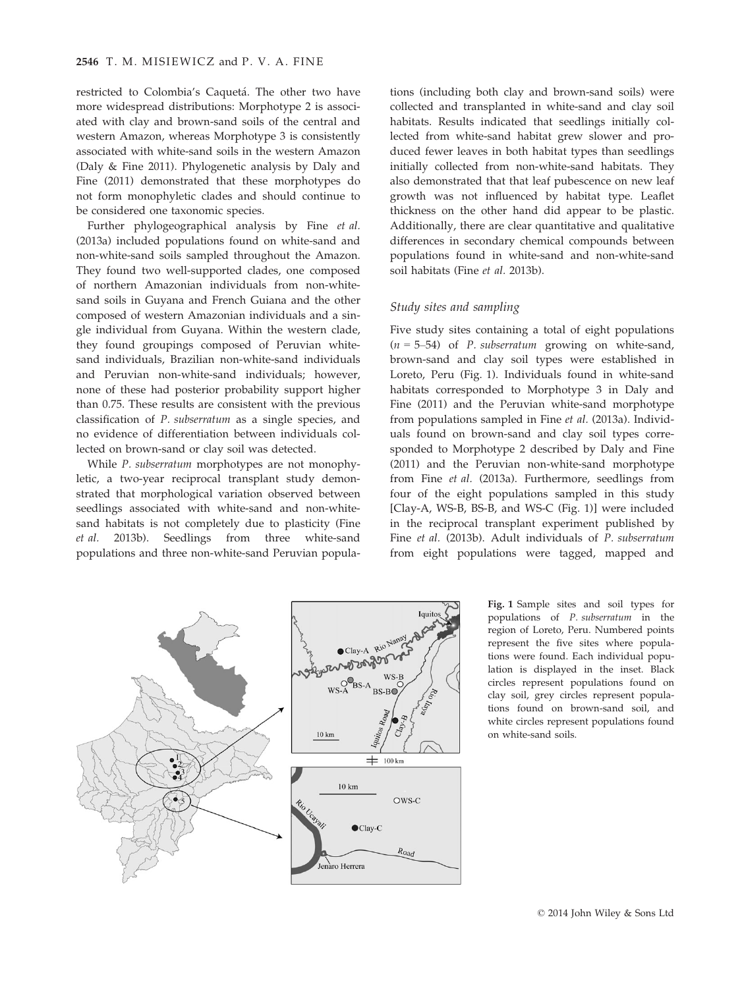restricted to Colombia's Caquetá. The other two have more widespread distributions: Morphotype 2 is associated with clay and brown-sand soils of the central and western Amazon, whereas Morphotype 3 is consistently associated with white-sand soils in the western Amazon (Daly & Fine 2011). Phylogenetic analysis by Daly and Fine (2011) demonstrated that these morphotypes do not form monophyletic clades and should continue to be considered one taxonomic species.

Further phylogeographical analysis by Fine et al. (2013a) included populations found on white-sand and non-white-sand soils sampled throughout the Amazon. They found two well-supported clades, one composed of northern Amazonian individuals from non-whitesand soils in Guyana and French Guiana and the other composed of western Amazonian individuals and a single individual from Guyana. Within the western clade, they found groupings composed of Peruvian whitesand individuals, Brazilian non-white-sand individuals and Peruvian non-white-sand individuals; however, none of these had posterior probability support higher than 0.75. These results are consistent with the previous classification of P. subserratum as a single species, and no evidence of differentiation between individuals collected on brown-sand or clay soil was detected.

While P. subserratum morphotypes are not monophyletic, a two-year reciprocal transplant study demonstrated that morphological variation observed between seedlings associated with white-sand and non-whitesand habitats is not completely due to plasticity (Fine et al. 2013b). Seedlings from three white-sand populations and three non-white-sand Peruvian popula-

tions (including both clay and brown-sand soils) were collected and transplanted in white-sand and clay soil habitats. Results indicated that seedlings initially collected from white-sand habitat grew slower and produced fewer leaves in both habitat types than seedlings initially collected from non-white-sand habitats. They also demonstrated that that leaf pubescence on new leaf growth was not influenced by habitat type. Leaflet thickness on the other hand did appear to be plastic. Additionally, there are clear quantitative and qualitative differences in secondary chemical compounds between populations found in white-sand and non-white-sand soil habitats (Fine et al. 2013b).

## Study sites and sampling

Five study sites containing a total of eight populations  $(n = 5-54)$  of P. subserratum growing on white-sand, brown-sand and clay soil types were established in Loreto, Peru (Fig. 1). Individuals found in white-sand habitats corresponded to Morphotype 3 in Daly and Fine (2011) and the Peruvian white-sand morphotype from populations sampled in Fine et al. (2013a). Individuals found on brown-sand and clay soil types corresponded to Morphotype 2 described by Daly and Fine (2011) and the Peruvian non-white-sand morphotype from Fine et al. (2013a). Furthermore, seedlings from four of the eight populations sampled in this study [Clay-A, WS-B, BS-B, and WS-C (Fig. 1)] were included in the reciprocal transplant experiment published by Fine et al. (2013b). Adult individuals of P. subserratum from eight populations were tagged, mapped and



Fig. 1 Sample sites and soil types for populations of P. subserratum in the region of Loreto, Peru. Numbered points represent the five sites where populations were found. Each individual population is displayed in the inset. Black circles represent populations found on clay soil, grey circles represent populations found on brown-sand soil, and white circles represent populations found on white-sand soils.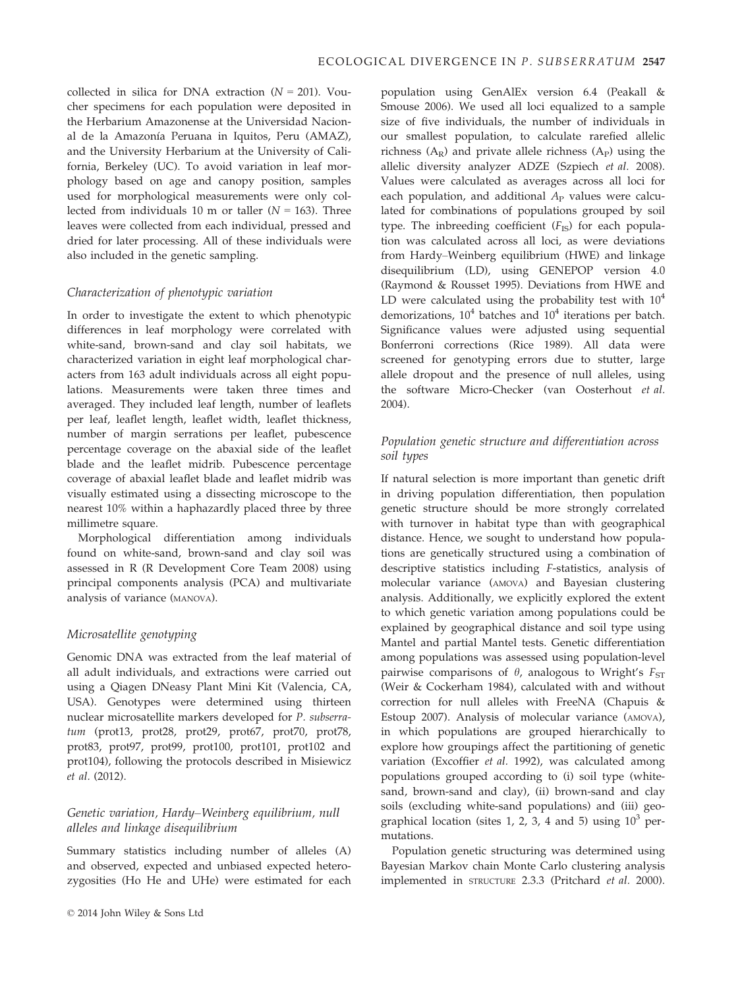collected in silica for DNA extraction  $(N = 201)$ . Voucher specimens for each population were deposited in the Herbarium Amazonense at the Universidad Nacional de la Amazonía Peruana in Iquitos, Peru (AMAZ), and the University Herbarium at the University of California, Berkeley (UC). To avoid variation in leaf morphology based on age and canopy position, samples used for morphological measurements were only collected from individuals 10 m or taller  $(N = 163)$ . Three leaves were collected from each individual, pressed and dried for later processing. All of these individuals were also included in the genetic sampling.

# Characterization of phenotypic variation

In order to investigate the extent to which phenotypic differences in leaf morphology were correlated with white-sand, brown-sand and clay soil habitats, we characterized variation in eight leaf morphological characters from 163 adult individuals across all eight populations. Measurements were taken three times and averaged. They included leaf length, number of leaflets per leaf, leaflet length, leaflet width, leaflet thickness, number of margin serrations per leaflet, pubescence percentage coverage on the abaxial side of the leaflet blade and the leaflet midrib. Pubescence percentage coverage of abaxial leaflet blade and leaflet midrib was visually estimated using a dissecting microscope to the nearest 10% within a haphazardly placed three by three millimetre square.

Morphological differentiation among individuals found on white-sand, brown-sand and clay soil was assessed in R (R Development Core Team 2008) using principal components analysis (PCA) and multivariate analysis of variance (MANOVA).

# Microsatellite genotyping

Genomic DNA was extracted from the leaf material of all adult individuals, and extractions were carried out using a Qiagen DNeasy Plant Mini Kit (Valencia, CA, USA). Genotypes were determined using thirteen nuclear microsatellite markers developed for P. subserratum (prot13, prot28, prot29, prot67, prot70, prot78, prot83, prot97, prot99, prot100, prot101, prot102 and prot104), following the protocols described in Misiewicz et al. (2012).

# Genetic variation, Hardy–Weinberg equilibrium, null alleles and linkage disequilibrium

Summary statistics including number of alleles (A) and observed, expected and unbiased expected heterozygosities (Ho He and UHe) were estimated for each population using GenAlEx version 6.4 (Peakall & Smouse 2006). We used all loci equalized to a sample size of five individuals, the number of individuals in our smallest population, to calculate rarefied allelic richness  $(A_R)$  and private allele richness  $(A_P)$  using the allelic diversity analyzer ADZE (Szpiech et al. 2008). Values were calculated as averages across all loci for each population, and additional  $A<sub>P</sub>$  values were calculated for combinations of populations grouped by soil type. The inbreeding coefficient  $(F_{IS})$  for each population was calculated across all loci, as were deviations from Hardy–Weinberg equilibrium (HWE) and linkage disequilibrium (LD), using GENEPOP version 4.0 (Raymond & Rousset 1995). Deviations from HWE and LD were calculated using the probability test with  $10^4$ demorizations,  $10^4$  batches and  $10^4$  iterations per batch. Significance values were adjusted using sequential Bonferroni corrections (Rice 1989). All data were screened for genotyping errors due to stutter, large allele dropout and the presence of null alleles, using the software Micro-Checker (van Oosterhout et al. 2004).

# Population genetic structure and differentiation across soil types

If natural selection is more important than genetic drift in driving population differentiation, then population genetic structure should be more strongly correlated with turnover in habitat type than with geographical distance. Hence, we sought to understand how populations are genetically structured using a combination of descriptive statistics including F-statistics, analysis of molecular variance (AMOVA) and Bayesian clustering analysis. Additionally, we explicitly explored the extent to which genetic variation among populations could be explained by geographical distance and soil type using Mantel and partial Mantel tests. Genetic differentiation among populations was assessed using population-level pairwise comparisons of  $\theta$ , analogous to Wright's  $F_{ST}$ (Weir & Cockerham 1984), calculated with and without correction for null alleles with FreeNA (Chapuis & Estoup 2007). Analysis of molecular variance (AMOVA), in which populations are grouped hierarchically to explore how groupings affect the partitioning of genetic variation (Excoffier et al. 1992), was calculated among populations grouped according to (i) soil type (whitesand, brown-sand and clay), (ii) brown-sand and clay soils (excluding white-sand populations) and (iii) geographical location (sites 1, 2, 3, 4 and 5) using  $10^3$  permutations.

Population genetic structuring was determined using Bayesian Markov chain Monte Carlo clustering analysis implemented in STRUCTURE 2.3.3 (Pritchard et al. 2000).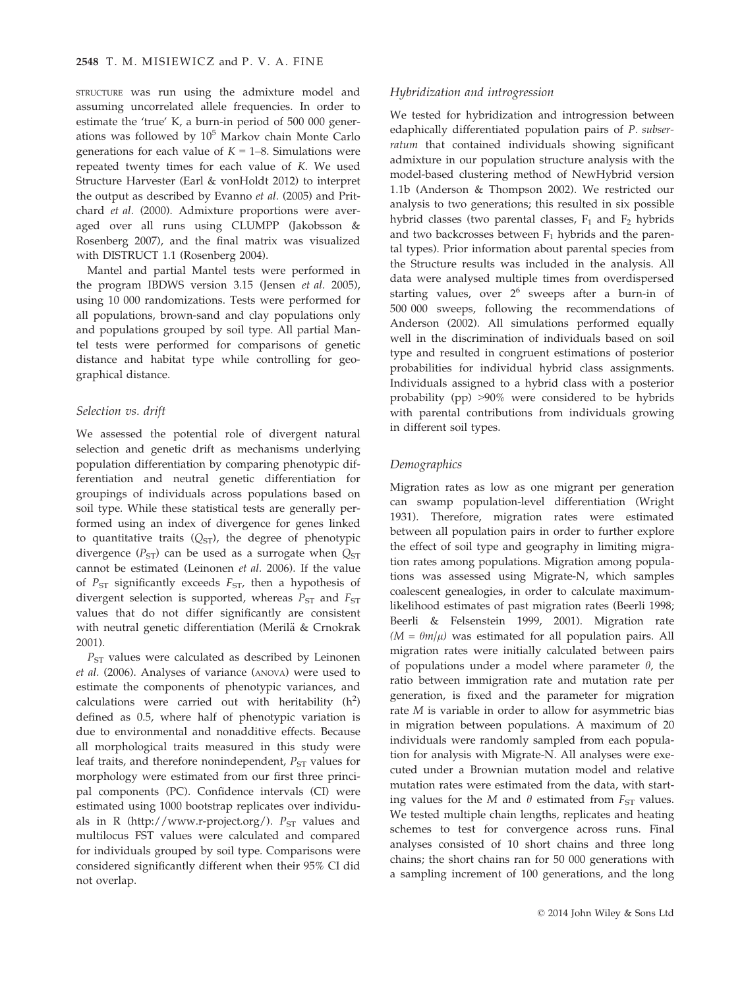STRUCTURE was run using the admixture model and assuming uncorrelated allele frequencies. In order to estimate the 'true' K, a burn-in period of 500 000 generations was followed by  $10^5$  Markov chain Monte Carlo generations for each value of  $K = 1-8$ . Simulations were repeated twenty times for each value of K. We used Structure Harvester (Earl & vonHoldt 2012) to interpret the output as described by Evanno et al. (2005) and Pritchard et al. (2000). Admixture proportions were averaged over all runs using CLUMPP (Jakobsson & Rosenberg 2007), and the final matrix was visualized with DISTRUCT 1.1 (Rosenberg 2004).

Mantel and partial Mantel tests were performed in the program IBDWS version 3.15 (Jensen et al. 2005), using 10 000 randomizations. Tests were performed for all populations, brown-sand and clay populations only and populations grouped by soil type. All partial Mantel tests were performed for comparisons of genetic distance and habitat type while controlling for geographical distance.

## Selection vs. drift

We assessed the potential role of divergent natural selection and genetic drift as mechanisms underlying population differentiation by comparing phenotypic differentiation and neutral genetic differentiation for groupings of individuals across populations based on soil type. While these statistical tests are generally performed using an index of divergence for genes linked to quantitative traits  $(Q_{ST})$ , the degree of phenotypic divergence ( $P_{ST}$ ) can be used as a surrogate when  $Q_{ST}$ cannot be estimated (Leinonen et al. 2006). If the value of  $P_{ST}$  significantly exceeds  $F_{ST}$ , then a hypothesis of divergent selection is supported, whereas  $P_{ST}$  and  $F_{ST}$ values that do not differ significantly are consistent with neutral genetic differentiation (Merilä & Crnokrak 2001).

 $P_{ST}$  values were calculated as described by Leinonen et al. (2006). Analyses of variance (ANOVA) were used to estimate the components of phenotypic variances, and calculations were carried out with heritability  $(h^2)$ defined as 0.5, where half of phenotypic variation is due to environmental and nonadditive effects. Because all morphological traits measured in this study were leaf traits, and therefore nonindependent,  $P_{ST}$  values for morphology were estimated from our first three principal components (PC). Confidence intervals (CI) were estimated using 1000 bootstrap replicates over individuals in R (http://www.r-project.org/).  $P_{ST}$  values and multilocus FST values were calculated and compared for individuals grouped by soil type. Comparisons were considered significantly different when their 95% CI did not overlap.

## Hybridization and introgression

We tested for hybridization and introgression between edaphically differentiated population pairs of P. subserratum that contained individuals showing significant admixture in our population structure analysis with the model-based clustering method of NewHybrid version 1.1b (Anderson & Thompson 2002). We restricted our analysis to two generations; this resulted in six possible hybrid classes (two parental classes,  $F_1$  and  $F_2$  hybrids and two backcrosses between  $F_1$  hybrids and the parental types). Prior information about parental species from the Structure results was included in the analysis. All data were analysed multiple times from overdispersed starting values, over  $2^6$  sweeps after a burn-in of 500 000 sweeps, following the recommendations of Anderson (2002). All simulations performed equally well in the discrimination of individuals based on soil type and resulted in congruent estimations of posterior probabilities for individual hybrid class assignments. Individuals assigned to a hybrid class with a posterior probability (pp) >90% were considered to be hybrids with parental contributions from individuals growing in different soil types.

## Demographics

Migration rates as low as one migrant per generation can swamp population-level differentiation (Wright 1931). Therefore, migration rates were estimated between all population pairs in order to further explore the effect of soil type and geography in limiting migration rates among populations. Migration among populations was assessed using Migrate-N, which samples coalescent genealogies, in order to calculate maximumlikelihood estimates of past migration rates (Beerli 1998; Beerli & Felsenstein 1999, 2001). Migration rate  $(M = \theta m/\mu)$  was estimated for all population pairs. All migration rates were initially calculated between pairs of populations under a model where parameter  $\theta$ , the ratio between immigration rate and mutation rate per generation, is fixed and the parameter for migration rate M is variable in order to allow for asymmetric bias in migration between populations. A maximum of 20 individuals were randomly sampled from each population for analysis with Migrate-N. All analyses were executed under a Brownian mutation model and relative mutation rates were estimated from the data, with starting values for the M and  $\theta$  estimated from  $F_{ST}$  values. We tested multiple chain lengths, replicates and heating schemes to test for convergence across runs. Final analyses consisted of 10 short chains and three long chains; the short chains ran for 50 000 generations with a sampling increment of 100 generations, and the long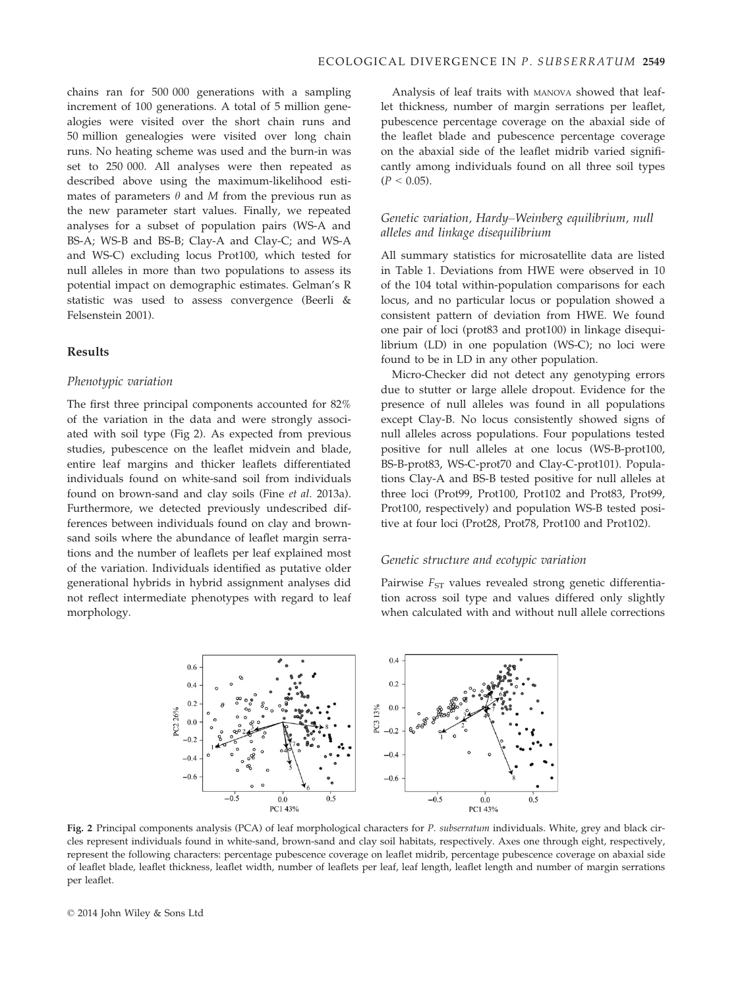chains ran for 500 000 generations with a sampling increment of 100 generations. A total of 5 million genealogies were visited over the short chain runs and 50 million genealogies were visited over long chain runs. No heating scheme was used and the burn-in was set to 250 000. All analyses were then repeated as described above using the maximum-likelihood estimates of parameters  $\theta$  and M from the previous run as the new parameter start values. Finally, we repeated analyses for a subset of population pairs (WS-A and BS-A; WS-B and BS-B; Clay-A and Clay-C; and WS-A and WS-C) excluding locus Prot100, which tested for null alleles in more than two populations to assess its potential impact on demographic estimates. Gelman's R statistic was used to assess convergence (Beerli & Felsenstein 2001).

## Results

#### Phenotypic variation

The first three principal components accounted for 82% of the variation in the data and were strongly associated with soil type (Fig 2). As expected from previous studies, pubescence on the leaflet midvein and blade, entire leaf margins and thicker leaflets differentiated individuals found on white-sand soil from individuals found on brown-sand and clay soils (Fine et al. 2013a). Furthermore, we detected previously undescribed differences between individuals found on clay and brownsand soils where the abundance of leaflet margin serrations and the number of leaflets per leaf explained most of the variation. Individuals identified as putative older generational hybrids in hybrid assignment analyses did not reflect intermediate phenotypes with regard to leaf morphology.

Analysis of leaf traits with MANOVA showed that leaflet thickness, number of margin serrations per leaflet, pubescence percentage coverage on the abaxial side of the leaflet blade and pubescence percentage coverage on the abaxial side of the leaflet midrib varied significantly among individuals found on all three soil types  $(P < 0.05)$ .

## Genetic variation, Hardy–Weinberg equilibrium, null alleles and linkage disequilibrium

All summary statistics for microsatellite data are listed in Table 1. Deviations from HWE were observed in 10 of the 104 total within-population comparisons for each locus, and no particular locus or population showed a consistent pattern of deviation from HWE. We found one pair of loci (prot83 and prot100) in linkage disequilibrium (LD) in one population (WS-C); no loci were found to be in LD in any other population.

Micro-Checker did not detect any genotyping errors due to stutter or large allele dropout. Evidence for the presence of null alleles was found in all populations except Clay-B. No locus consistently showed signs of null alleles across populations. Four populations tested positive for null alleles at one locus (WS-B-prot100, BS-B-prot83, WS-C-prot70 and Clay-C-prot101). Populations Clay-A and BS-B tested positive for null alleles at three loci (Prot99, Prot100, Prot102 and Prot83, Prot99, Prot100, respectively) and population WS-B tested positive at four loci (Prot28, Prot78, Prot100 and Prot102).

## Genetic structure and ecotypic variation

Pairwise  $F_{ST}$  values revealed strong genetic differentiation across soil type and values differed only slightly when calculated with and without null allele corrections



Fig. 2 Principal components analysis (PCA) of leaf morphological characters for P. subserratum individuals. White, grey and black circles represent individuals found in white-sand, brown-sand and clay soil habitats, respectively. Axes one through eight, respectively, represent the following characters: percentage pubescence coverage on leaflet midrib, percentage pubescence coverage on abaxial side of leaflet blade, leaflet thickness, leaflet width, number of leaflets per leaf, leaf length, leaflet length and number of margin serrations per leaflet.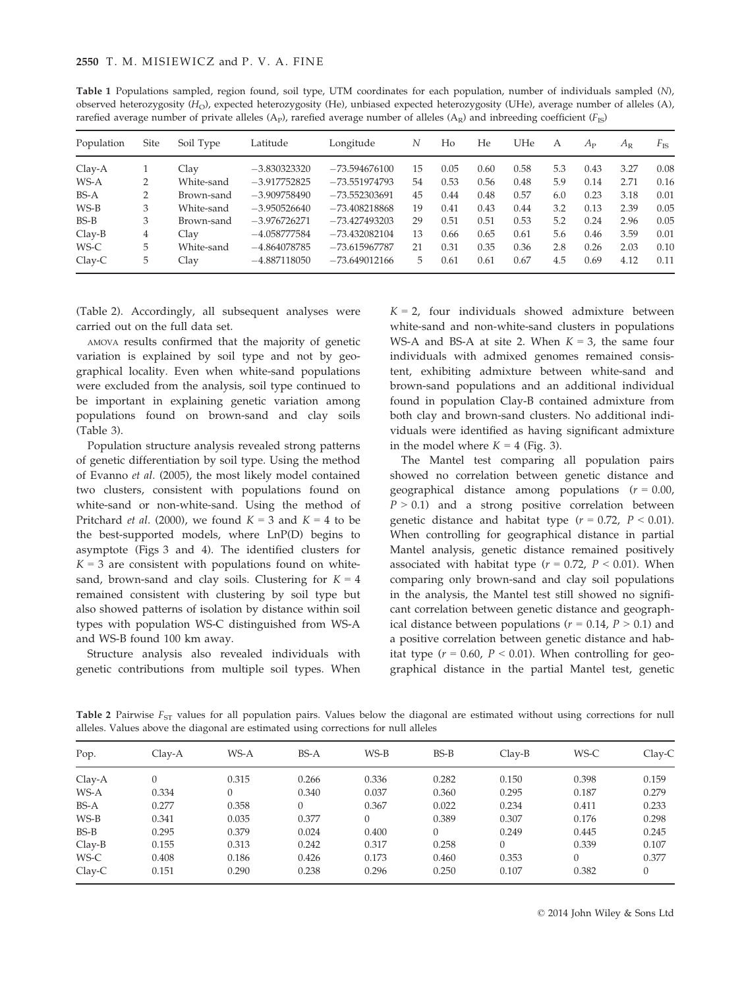| rarefied average number of private alleles (A <sub>P</sub> ), rarefied average number of alleles (A <sub>R</sub> ) and inbreeding coefficient ( $F_{IS}$ ) |      |            |                |                 |    |      |      |      |     |             |             |              |
|------------------------------------------------------------------------------------------------------------------------------------------------------------|------|------------|----------------|-----------------|----|------|------|------|-----|-------------|-------------|--------------|
| Population                                                                                                                                                 | Site | Soil Type  | Latitude       | Longitude       | N  | Ho   | He   | UHe  | A   | $A_{\rm P}$ | $A_{\rm R}$ | $F_{\rm IS}$ |
| $Clav-A$                                                                                                                                                   |      | Clav       | $-3.830323320$ | $-73.594676100$ | 15 | 0.05 | 0.60 | 0.58 | 5.3 | 0.43        | 3.27        | 0.08         |
| WS-A                                                                                                                                                       | 2    | White-sand | $-3.917752825$ | $-73.551974793$ | 54 | 0.53 | 0.56 | 0.48 | 5.9 | 0.14        | 2.71        | 0.16         |
| BS-A                                                                                                                                                       | 2    | Brown-sand | $-3.909758490$ | $-73.552303691$ | 45 | 0.44 | 0.48 | 0.57 | 6.0 | 0.23        | 3.18        | 0.01         |
| $WS-B$                                                                                                                                                     | 3    | White-sand | $-3.950526640$ | $-73.408218868$ | 19 | 0.41 | 0.43 | 0.44 | 3.2 | 0.13        | 2.39        | 0.05         |
| $BS-B$                                                                                                                                                     | 3    | Brown-sand | $-3.976726271$ | $-73.427493203$ | 29 | 0.51 | 0.51 | 0.53 | 5.2 | 0.24        | 2.96        | 0.05         |
| $Clay-B$                                                                                                                                                   | 4    | Clav       | $-4.058777584$ | $-73.432082104$ | 13 | 0.66 | 0.65 | 0.61 | 5.6 | 0.46        | 3.59        | 0.01         |
| WS-C                                                                                                                                                       | 5.   | White-sand | $-4.864078785$ | $-73.615967787$ | 21 | 0.31 | 0.35 | 0.36 | 2.8 | 0.26        | 2.03        | 0.10         |
| $Clay-C$                                                                                                                                                   | 5    | Clav       | $-4.887118050$ | $-73.649012166$ | 5. | 0.61 | 0.61 | 0.67 | 4.5 | 0.69        | 4.12        | 0.11         |

Table 1 Populations sampled, region found, soil type, UTM coordinates for each population, number of individuals sampled (N), observed heterozygosity  $(H<sub>O</sub>)$ , expected heterozygosity (He), unbiased expected heterozygosity (UHe), average number of alleles (A),

(Table 2). Accordingly, all subsequent analyses were carried out on the full data set.

AMOVA results confirmed that the majority of genetic variation is explained by soil type and not by geographical locality. Even when white-sand populations were excluded from the analysis, soil type continued to be important in explaining genetic variation among populations found on brown-sand and clay soils (Table 3).

Population structure analysis revealed strong patterns of genetic differentiation by soil type. Using the method of Evanno et al. (2005), the most likely model contained two clusters, consistent with populations found on white-sand or non-white-sand. Using the method of Pritchard *et al.* (2000), we found  $K = 3$  and  $K = 4$  to be the best-supported models, where LnP(D) begins to asymptote (Figs 3 and 4). The identified clusters for  $K = 3$  are consistent with populations found on whitesand, brown-sand and clay soils. Clustering for  $K = 4$ remained consistent with clustering by soil type but also showed patterns of isolation by distance within soil types with population WS-C distinguished from WS-A and WS-B found 100 km away.

Structure analysis also revealed individuals with genetic contributions from multiple soil types. When

 $K = 2$ , four individuals showed admixture between white-sand and non-white-sand clusters in populations WS-A and BS-A at site 2. When  $K = 3$ , the same four individuals with admixed genomes remained consistent, exhibiting admixture between white-sand and brown-sand populations and an additional individual found in population Clay-B contained admixture from both clay and brown-sand clusters. No additional individuals were identified as having significant admixture in the model where  $K = 4$  (Fig. 3).

The Mantel test comparing all population pairs showed no correlation between genetic distance and geographical distance among populations  $(r = 0.00)$ ,  $P > 0.1$ ) and a strong positive correlation between genetic distance and habitat type  $(r = 0.72, P < 0.01)$ . When controlling for geographical distance in partial Mantel analysis, genetic distance remained positively associated with habitat type ( $r = 0.72$ ,  $P < 0.01$ ). When comparing only brown-sand and clay soil populations in the analysis, the Mantel test still showed no significant correlation between genetic distance and geographical distance between populations ( $r = 0.14$ ,  $P > 0.1$ ) and a positive correlation between genetic distance and habitat type ( $r = 0.60$ ,  $P < 0.01$ ). When controlling for geographical distance in the partial Mantel test, genetic

Table 2 Pairwise  $F_{ST}$  values for all population pairs. Values below the diagonal are estimated without using corrections for null alleles. Values above the diagonal are estimated using corrections for null alleles

| Pop.     | Clay-A | WS-A     | $BS-A$ | $WS-B$   | $BS-B$ | $Clav-B$ | WS-C  | $Clav-C$ |
|----------|--------|----------|--------|----------|--------|----------|-------|----------|
| $Clay-A$ |        | 0.315    | 0.266  | 0.336    | 0.282  | 0.150    | 0.398 | 0.159    |
| WS-A     | 0.334  | $\Omega$ | 0.340  | 0.037    | 0.360  | 0.295    | 0.187 | 0.279    |
| $BS-A$   | 0.277  | 0.358    | 0      | 0.367    | 0.022  | 0.234    | 0.411 | 0.233    |
| WS-B     | 0.341  | 0.035    | 0.377  | $\theta$ | 0.389  | 0.307    | 0.176 | 0.298    |
| BS-B     | 0.295  | 0.379    | 0.024  | 0.400    | 0      | 0.249    | 0.445 | 0.245    |
| $Clay-B$ | 0.155  | 0.313    | 0.242  | 0.317    | 0.258  | 0        | 0.339 | 0.107    |
| WS-C     | 0.408  | 0.186    | 0.426  | 0.173    | 0.460  | 0.353    | 0     | 0.377    |
| $Clav-C$ | 0.151  | 0.290    | 0.238  | 0.296    | 0.250  | 0.107    | 0.382 | 0        |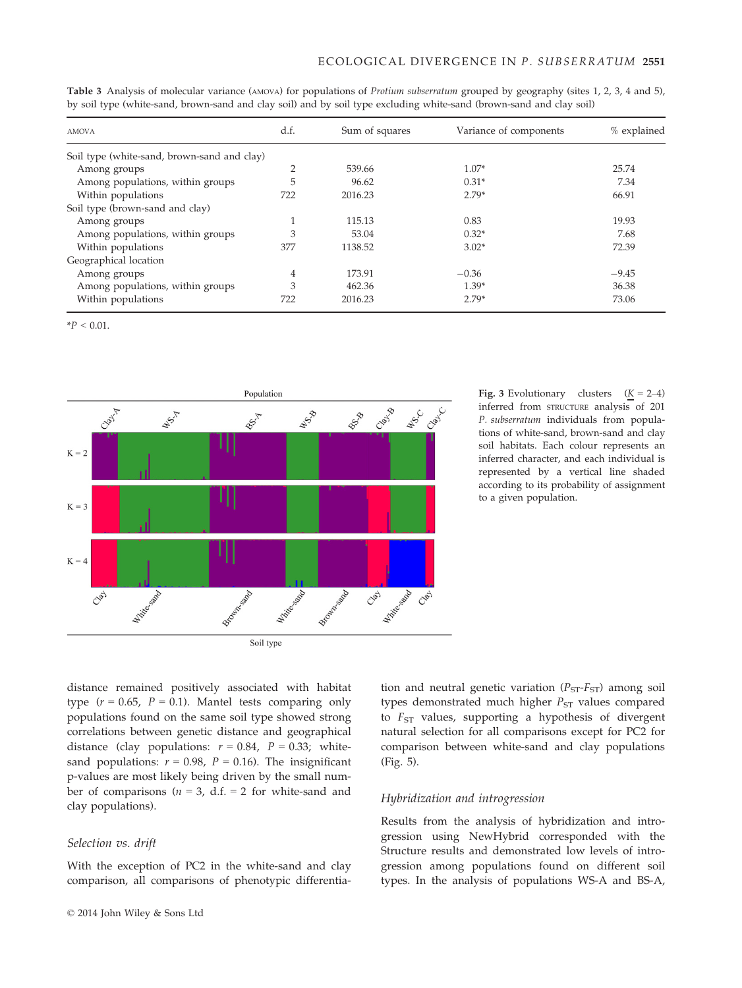| <b>AMOVA</b>                                | d.f.           | Sum of squares | Variance of components | % explained |
|---------------------------------------------|----------------|----------------|------------------------|-------------|
| Soil type (white-sand, brown-sand and clay) |                |                |                        |             |
| Among groups                                | $\overline{2}$ | 539.66         | $1.07*$                | 25.74       |
| Among populations, within groups            | 5              | 96.62          | $0.31*$                | 7.34        |
| Within populations                          | 722            | 2016.23        | $2.79*$                | 66.91       |
| Soil type (brown-sand and clay)             |                |                |                        |             |
| Among groups                                |                | 115.13         | 0.83                   | 19.93       |
| Among populations, within groups            | 3              | 53.04          | $0.32*$                | 7.68        |
| Within populations                          | 377            | 1138.52        | $3.02*$                | 72.39       |
| Geographical location                       |                |                |                        |             |
| Among groups                                | 4              | 173.91         | $-0.36$                | $-9.45$     |
| Among populations, within groups            | 3              | 462.36         | $1.39*$                | 36.38       |
| Within populations                          | 722            | 2016.23        | $2.79*$                | 73.06       |

Table 3 Analysis of molecular variance (AMOVA) for populations of Protium subserratum grouped by geography (sites 1, 2, 3, 4 and 5), by soil type (white-sand, brown-sand and clay soil) and by soil type excluding white-sand (brown-sand and clay soil)

 $*P < 0.01$ .



**Fig. 3** Evolutionary clusters  $(K = 2-4)$ inferred from STRUCTURE analysis of 201 P. subserratum individuals from populations of white-sand, brown-sand and clay soil habitats. Each colour represents an inferred character, and each individual is represented by a vertical line shaded according to its probability of assignment to a given population.

distance remained positively associated with habitat type  $(r = 0.65, P = 0.1)$ . Mantel tests comparing only populations found on the same soil type showed strong correlations between genetic distance and geographical distance (clay populations:  $r = 0.84$ ,  $P = 0.33$ ; whitesand populations:  $r = 0.98$ ,  $P = 0.16$ ). The insignificant p-values are most likely being driven by the small number of comparisons ( $n = 3$ , d.f. = 2 for white-sand and clay populations).

## Selection vs. drift

With the exception of PC2 in the white-sand and clay comparison, all comparisons of phenotypic differentiation and neutral genetic variation  $(P_{ST} - F_{ST})$  among soil types demonstrated much higher  $P_{ST}$  values compared to  $F_{ST}$  values, supporting a hypothesis of divergent natural selection for all comparisons except for PC2 for comparison between white-sand and clay populations (Fig. 5).

## Hybridization and introgression

Results from the analysis of hybridization and introgression using NewHybrid corresponded with the Structure results and demonstrated low levels of introgression among populations found on different soil types. In the analysis of populations WS-A and BS-A,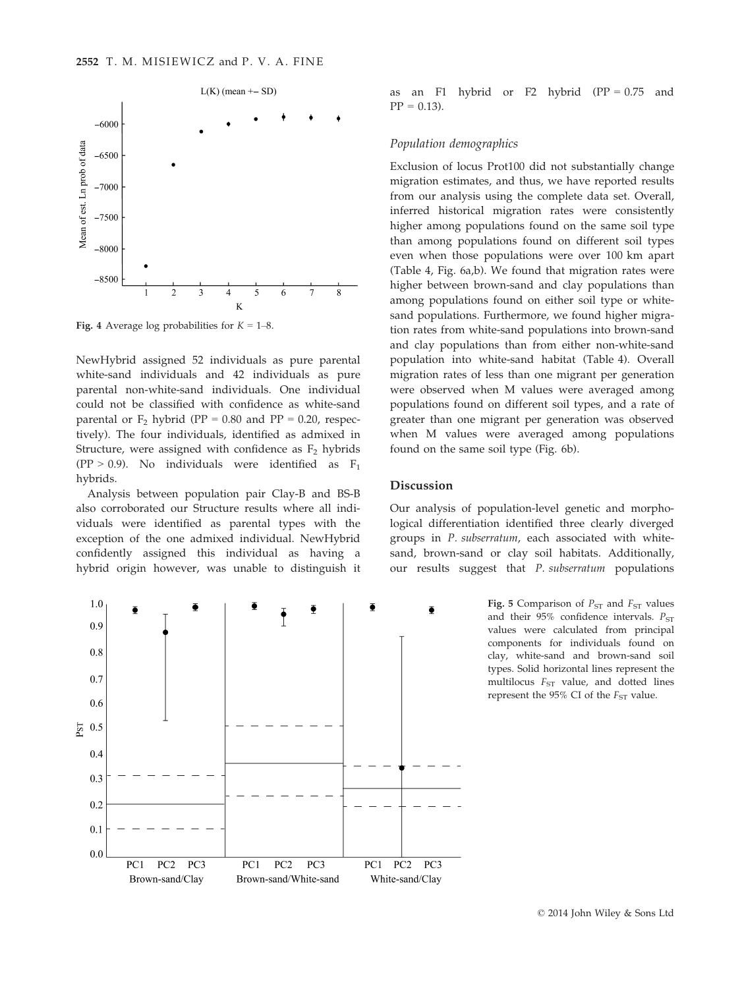

Fig. 4 Average log probabilities for  $K = 1-8$ .

NewHybrid assigned 52 individuals as pure parental white-sand individuals and 42 individuals as pure parental non-white-sand individuals. One individual could not be classified with confidence as white-sand parental or  $F_2$  hybrid (PP = 0.80 and PP = 0.20, respectively). The four individuals, identified as admixed in Structure, were assigned with confidence as  $F_2$  hybrids (PP > 0.9). No individuals were identified as  $F_1$ hybrids.

Analysis between population pair Clay-B and BS-B also corroborated our Structure results where all individuals were identified as parental types with the exception of the one admixed individual. NewHybrid confidently assigned this individual as having a hybrid origin however, was unable to distinguish it



as an F1 hybrid or F2 hybrid  $(PP = 0.75$  and  $PP = 0.13$ .

## Population demographics

Exclusion of locus Prot100 did not substantially change migration estimates, and thus, we have reported results from our analysis using the complete data set. Overall, inferred historical migration rates were consistently higher among populations found on the same soil type than among populations found on different soil types even when those populations were over 100 km apart (Table 4, Fig. 6a,b). We found that migration rates were higher between brown-sand and clay populations than among populations found on either soil type or whitesand populations. Furthermore, we found higher migration rates from white-sand populations into brown-sand and clay populations than from either non-white-sand population into white-sand habitat (Table 4). Overall migration rates of less than one migrant per generation were observed when M values were averaged among populations found on different soil types, and a rate of greater than one migrant per generation was observed when M values were averaged among populations found on the same soil type (Fig. 6b).

## Discussion

Our analysis of population-level genetic and morphological differentiation identified three clearly diverged groups in P. subserratum, each associated with whitesand, brown-sand or clay soil habitats. Additionally, our results suggest that P. subserratum populations

> Fig. 5 Comparison of  $P_{ST}$  and  $F_{ST}$  values and their  $95\%$  confidence intervals.  $P_{ST}$ values were calculated from principal components for individuals found on clay, white-sand and brown-sand soil types. Solid horizontal lines represent the multilocus  $F_{ST}$  value, and dotted lines represent the 95% CI of the  $F_{ST}$  value.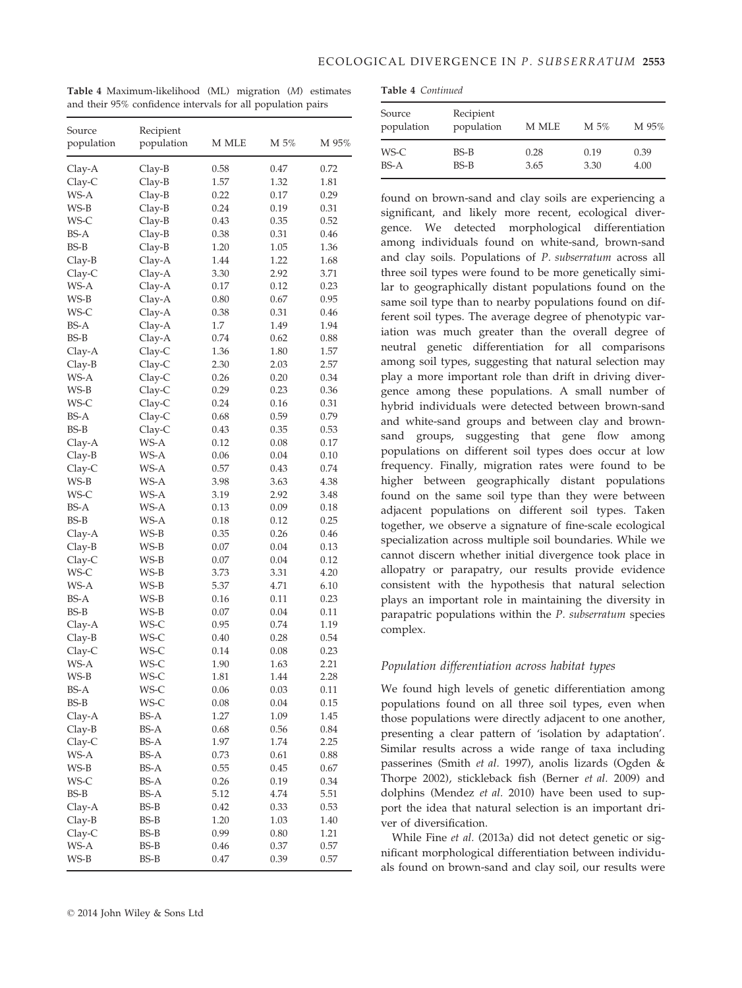Table 4 Maximum-likelihood (ML) migration (M) estimates and their 95% confidence intervals for all population pairs

|  | <b>Table 4 Continued</b> |
|--|--------------------------|
|--|--------------------------|

| Source<br>population | Recipient<br>population | M MLE        | M 5%         | M 95%        |  |  |  |  |
|----------------------|-------------------------|--------------|--------------|--------------|--|--|--|--|
| WS-C<br>$BS-A$       | BS-B<br>$BS-B$          | 0.28<br>3.65 | 0.19<br>3.30 | 0.39<br>4.00 |  |  |  |  |

found on brown-sand and clay soils are experiencing a significant, and likely more recent, ecological divergence. We detected morphological differentiation among individuals found on white-sand, brown-sand and clay soils. Populations of P. subserratum across all three soil types were found to be more genetically similar to geographically distant populations found on the same soil type than to nearby populations found on different soil types. The average degree of phenotypic variation was much greater than the overall degree of neutral genetic differentiation for all comparisons among soil types, suggesting that natural selection may play a more important role than drift in driving divergence among these populations. A small number of hybrid individuals were detected between brown-sand and white-sand groups and between clay and brownsand groups, suggesting that gene flow among populations on different soil types does occur at low frequency. Finally, migration rates were found to be higher between geographically distant populations found on the same soil type than they were between adjacent populations on different soil types. Taken together, we observe a signature of fine-scale ecological specialization across multiple soil boundaries. While we cannot discern whether initial divergence took place in allopatry or parapatry, our results provide evidence consistent with the hypothesis that natural selection plays an important role in maintaining the diversity in parapatric populations within the P. subserratum species complex.

## Population differentiation across habitat types

We found high levels of genetic differentiation among populations found on all three soil types, even when those populations were directly adjacent to one another, presenting a clear pattern of 'isolation by adaptation'. Similar results across a wide range of taxa including passerines (Smith et al. 1997), anolis lizards (Ogden & Thorpe 2002), stickleback fish (Berner et al. 2009) and dolphins (Mendez et al. 2010) have been used to support the idea that natural selection is an important driver of diversification.

While Fine et al. (2013a) did not detect genetic or significant morphological differentiation between individuals found on brown-sand and clay soil, our results were

| Source<br>population | Recipient<br>population | M MLE        | M 5%         | M 95%        |
|----------------------|-------------------------|--------------|--------------|--------------|
|                      |                         |              |              |              |
| Clay-A               | Clay-B                  | 0.58         | 0.47         | 0.72         |
| Clay-C               | Clay-B                  | 1.57         | 1.32         | 1.81         |
| WS-A                 | Clay-B                  | 0.22         | 0.17         | 0.29         |
| WS-B                 | Clay-B                  | 0.24         | 0.19         | 0.31         |
| WS-C                 | Clay-B                  | 0.43         | 0.35         | 0.52         |
| BS-A                 | Clay-B                  | 0.38         | 0.31         | 0.46         |
| BS-B                 | Clay-B                  | 1.20         | 1.05         | 1.36         |
| Clay-B               | Clay-A                  | 1.44         | 1.22         | 1.68         |
| Clay-C               | Clay-A                  | 3.30         | 2.92         | 3.71         |
| WS-A                 | $Clay-A$                | 0.17         | 0.12         | 0.23         |
| WS-B                 | $Clay-A$                | 0.80         | 0.67         | 0.95         |
| WS-C                 | Clay-A                  | 0.38         | 0.31         | 0.46         |
| <b>BS-A</b>          | Clay-A                  | 1.7          | 1.49         | 1.94         |
| BS-B                 | Clay-A                  | 0.74         | 0.62         | 0.88         |
| Clay-A               | Clay-C<br>$Clay-C$      | 1.36<br>2.30 | 1.80<br>2.03 | 1.57<br>2.57 |
| Clay-B<br>WS-A       |                         | 0.26         |              | 0.34         |
| WS-B                 | Clay-C                  | 0.29         | 0.20<br>0.23 | 0.36         |
|                      | Clay-C                  |              | 0.16         |              |
| WS-C<br><b>BS-A</b>  | Clay-C                  | 0.24         |              | 0.31         |
| <b>BS-B</b>          | Clay-C                  | 0.68         | 0.59         | 0.79         |
| Clay-A               | Clay-C<br>WS-A          | 0.43<br>0.12 | 0.35<br>0.08 | 0.53<br>0.17 |
| Clay-B               | WS-A                    | 0.06         | 0.04         | 0.10         |
| $Clay-C$             | WS-A                    | 0.57         | 0.43         | 0.74         |
| WS-B                 | WS-A                    | 3.98         | 3.63         | 4.38         |
| WS-C                 | WS-A                    | 3.19         | 2.92         | 3.48         |
| <b>BS-A</b>          | WS-A                    | 0.13         | 0.09         | 0.18         |
| <b>BS-B</b>          | WS-A                    | 0.18         | 0.12         | 0.25         |
| Clay-A               | WS-B                    | 0.35         | 0.26         | 0.46         |
| Clay-B               | WS-B                    | 0.07         | 0.04         | 0.13         |
| Clay-C               | WS-B                    | 0.07         | 0.04         | 0.12         |
| WS-C                 | WS-B                    | 3.73         | 3.31         | 4.20         |
| WS-A                 | WS-B                    | 5.37         | 4.71         | 6.10         |
| <b>BS-A</b>          | WS-B                    | 0.16         | 0.11         | 0.23         |
| BS-B                 | WS-B                    | 0.07         | 0.04         | 0.11         |
| Clay-A               | WS-C                    | 0.95         | 0.74         | 1.19         |
| Clay-B               | WS-C                    | 0.40         | 0.28         | 0.54         |
| Clay-C               | WS-C                    | 0.14         | 0.08         | 0.23         |
| WS-A                 | WS-C                    | 1.90         | 1.63         | 2.21         |
| WS-B                 | WS-C                    | 1.81         | 1.44         | 2.28         |
| BS-A                 | WS-C                    | 0.06         | 0.03         | 0.11         |
| BS-B                 | WS-C                    | 0.08         | 0.04         | 0.15         |
| Clay-A               | BS-A                    | 1.27         | 1.09         | 1.45         |
| Clay-B               | BS-A                    | 0.68         | 0.56         | 0.84         |
| Clay-C               | BS-A                    | 1.97         | 1.74         | 2.25         |
| WS-A                 | BS-A                    | 0.73         | 0.61         | 0.88         |
| WS-B                 | BS-A                    | 0.55         | 0.45         | 0.67         |
| WS-C                 | BS-A                    | 0.26         | 0.19         | 0.34         |
| BS-B                 | BS-A                    | 5.12         | 4.74         | 5.51         |
| Clay-A               | BS-B                    | 0.42         | 0.33         | 0.53         |
| Clay-B               | BS-B                    | 1.20         | 1.03         | 1.40         |
| Clay-C               | BS-B                    | 0.99         | 0.80         | 1.21         |
| WS-A                 | BS-B                    | 0.46         | 0.37         | 0.57         |
| WS-B                 | BS-B                    | 0.47         | 0.39         | 0.57         |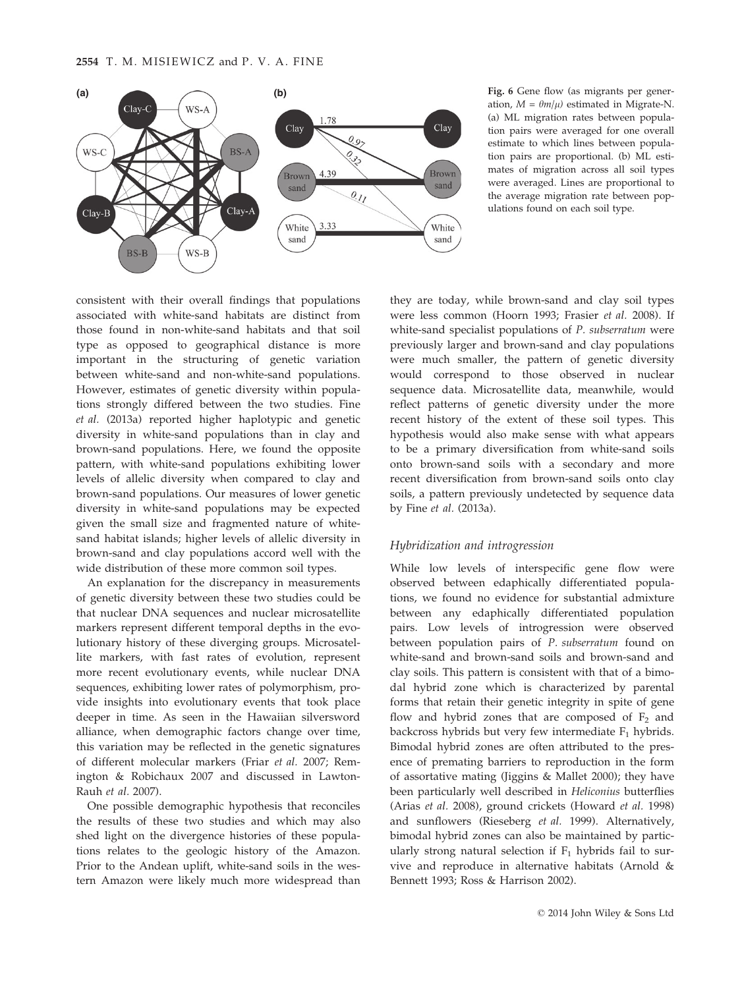2554 T. M. MISIEWICZ and P. V. A. FINE



ation,  $M = \theta m/\mu$ ) estimated in Migrate-N. (a) ML migration rates between population pairs were averaged for one overall estimate to which lines between population pairs are proportional. (b) ML estimates of migration across all soil types were averaged. Lines are proportional to the average migration rate between populations found on each soil type.

consistent with their overall findings that populations associated with white-sand habitats are distinct from those found in non-white-sand habitats and that soil type as opposed to geographical distance is more important in the structuring of genetic variation between white-sand and non-white-sand populations. However, estimates of genetic diversity within populations strongly differed between the two studies. Fine et al. (2013a) reported higher haplotypic and genetic diversity in white-sand populations than in clay and brown-sand populations. Here, we found the opposite pattern, with white-sand populations exhibiting lower levels of allelic diversity when compared to clay and brown-sand populations. Our measures of lower genetic diversity in white-sand populations may be expected given the small size and fragmented nature of whitesand habitat islands; higher levels of allelic diversity in brown-sand and clay populations accord well with the wide distribution of these more common soil types.

An explanation for the discrepancy in measurements of genetic diversity between these two studies could be that nuclear DNA sequences and nuclear microsatellite markers represent different temporal depths in the evolutionary history of these diverging groups. Microsatellite markers, with fast rates of evolution, represent more recent evolutionary events, while nuclear DNA sequences, exhibiting lower rates of polymorphism, provide insights into evolutionary events that took place deeper in time. As seen in the Hawaiian silversword alliance, when demographic factors change over time, this variation may be reflected in the genetic signatures of different molecular markers (Friar et al. 2007; Remington & Robichaux 2007 and discussed in Lawton-Rauh et al. 2007).

One possible demographic hypothesis that reconciles the results of these two studies and which may also shed light on the divergence histories of these populations relates to the geologic history of the Amazon. Prior to the Andean uplift, white-sand soils in the western Amazon were likely much more widespread than

they are today, while brown-sand and clay soil types were less common (Hoorn 1993; Frasier et al. 2008). If white-sand specialist populations of P. subserratum were previously larger and brown-sand and clay populations were much smaller, the pattern of genetic diversity would correspond to those observed in nuclear sequence data. Microsatellite data, meanwhile, would reflect patterns of genetic diversity under the more recent history of the extent of these soil types. This hypothesis would also make sense with what appears to be a primary diversification from white-sand soils onto brown-sand soils with a secondary and more recent diversification from brown-sand soils onto clay soils, a pattern previously undetected by sequence data by Fine et al. (2013a).

## Hybridization and introgression

While low levels of interspecific gene flow were observed between edaphically differentiated populations, we found no evidence for substantial admixture between any edaphically differentiated population pairs. Low levels of introgression were observed between population pairs of P. subserratum found on white-sand and brown-sand soils and brown-sand and clay soils. This pattern is consistent with that of a bimodal hybrid zone which is characterized by parental forms that retain their genetic integrity in spite of gene flow and hybrid zones that are composed of  $F_2$  and backcross hybrids but very few intermediate  $F_1$  hybrids. Bimodal hybrid zones are often attributed to the presence of premating barriers to reproduction in the form of assortative mating (Jiggins & Mallet 2000); they have been particularly well described in Heliconius butterflies (Arias et al. 2008), ground crickets (Howard et al. 1998) and sunflowers (Rieseberg et al. 1999). Alternatively, bimodal hybrid zones can also be maintained by particularly strong natural selection if  $F_1$  hybrids fail to survive and reproduce in alternative habitats (Arnold & Bennett 1993; Ross & Harrison 2002).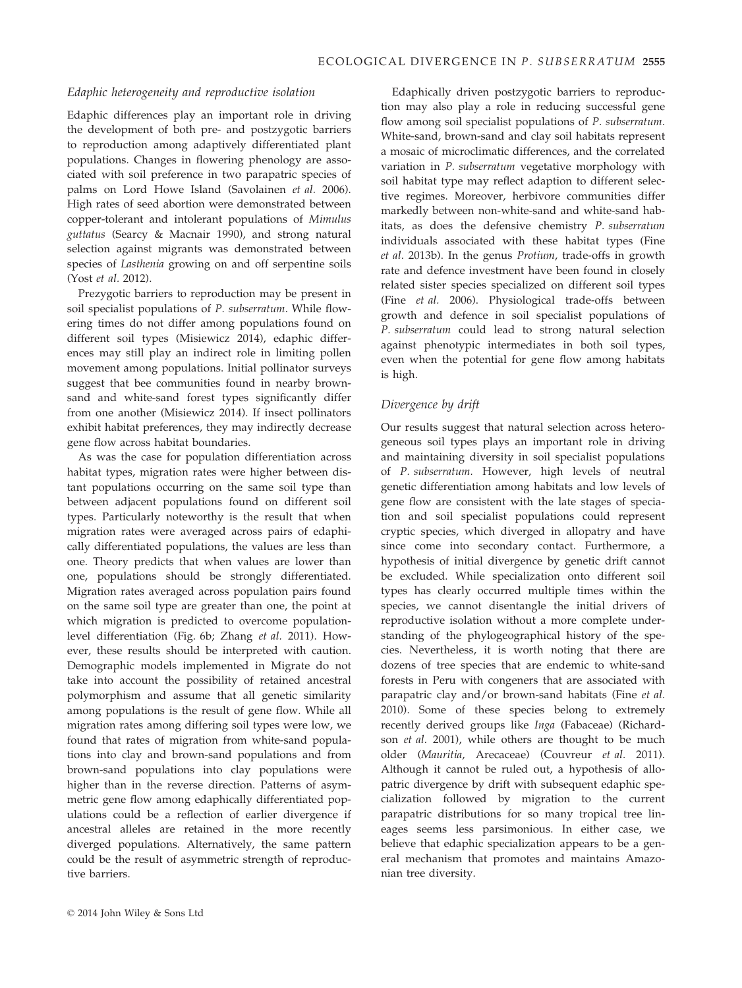## Edaphic heterogeneity and reproductive isolation

Edaphic differences play an important role in driving the development of both pre- and postzygotic barriers to reproduction among adaptively differentiated plant populations. Changes in flowering phenology are associated with soil preference in two parapatric species of palms on Lord Howe Island (Savolainen et al. 2006). High rates of seed abortion were demonstrated between copper-tolerant and intolerant populations of Mimulus guttatus (Searcy & Macnair 1990), and strong natural selection against migrants was demonstrated between species of Lasthenia growing on and off serpentine soils (Yost et al. 2012).

Prezygotic barriers to reproduction may be present in soil specialist populations of P. subserratum. While flowering times do not differ among populations found on different soil types (Misiewicz 2014), edaphic differences may still play an indirect role in limiting pollen movement among populations. Initial pollinator surveys suggest that bee communities found in nearby brownsand and white-sand forest types significantly differ from one another (Misiewicz 2014). If insect pollinators exhibit habitat preferences, they may indirectly decrease gene flow across habitat boundaries.

As was the case for population differentiation across habitat types, migration rates were higher between distant populations occurring on the same soil type than between adjacent populations found on different soil types. Particularly noteworthy is the result that when migration rates were averaged across pairs of edaphically differentiated populations, the values are less than one. Theory predicts that when values are lower than one, populations should be strongly differentiated. Migration rates averaged across population pairs found on the same soil type are greater than one, the point at which migration is predicted to overcome populationlevel differentiation (Fig. 6b; Zhang et al. 2011). However, these results should be interpreted with caution. Demographic models implemented in Migrate do not take into account the possibility of retained ancestral polymorphism and assume that all genetic similarity among populations is the result of gene flow. While all migration rates among differing soil types were low, we found that rates of migration from white-sand populations into clay and brown-sand populations and from brown-sand populations into clay populations were higher than in the reverse direction. Patterns of asymmetric gene flow among edaphically differentiated populations could be a reflection of earlier divergence if ancestral alleles are retained in the more recently diverged populations. Alternatively, the same pattern could be the result of asymmetric strength of reproductive barriers.

Edaphically driven postzygotic barriers to reproduction may also play a role in reducing successful gene flow among soil specialist populations of P. subserratum. White-sand, brown-sand and clay soil habitats represent a mosaic of microclimatic differences, and the correlated variation in P. subserratum vegetative morphology with soil habitat type may reflect adaption to different selective regimes. Moreover, herbivore communities differ markedly between non-white-sand and white-sand habitats, as does the defensive chemistry P. subserratum individuals associated with these habitat types (Fine et al. 2013b). In the genus Protium, trade-offs in growth rate and defence investment have been found in closely related sister species specialized on different soil types (Fine et al. 2006). Physiological trade-offs between growth and defence in soil specialist populations of P. subserratum could lead to strong natural selection against phenotypic intermediates in both soil types, even when the potential for gene flow among habitats is high.

#### Divergence by drift

Our results suggest that natural selection across heterogeneous soil types plays an important role in driving and maintaining diversity in soil specialist populations of P. subserratum. However, high levels of neutral genetic differentiation among habitats and low levels of gene flow are consistent with the late stages of speciation and soil specialist populations could represent cryptic species, which diverged in allopatry and have since come into secondary contact. Furthermore, a hypothesis of initial divergence by genetic drift cannot be excluded. While specialization onto different soil types has clearly occurred multiple times within the species, we cannot disentangle the initial drivers of reproductive isolation without a more complete understanding of the phylogeographical history of the species. Nevertheless, it is worth noting that there are dozens of tree species that are endemic to white-sand forests in Peru with congeners that are associated with parapatric clay and/or brown-sand habitats (Fine et al. 2010). Some of these species belong to extremely recently derived groups like Inga (Fabaceae) (Richardson et al. 2001), while others are thought to be much older (Mauritia, Arecaceae) (Couvreur et al. 2011). Although it cannot be ruled out, a hypothesis of allopatric divergence by drift with subsequent edaphic specialization followed by migration to the current parapatric distributions for so many tropical tree lineages seems less parsimonious. In either case, we believe that edaphic specialization appears to be a general mechanism that promotes and maintains Amazonian tree diversity.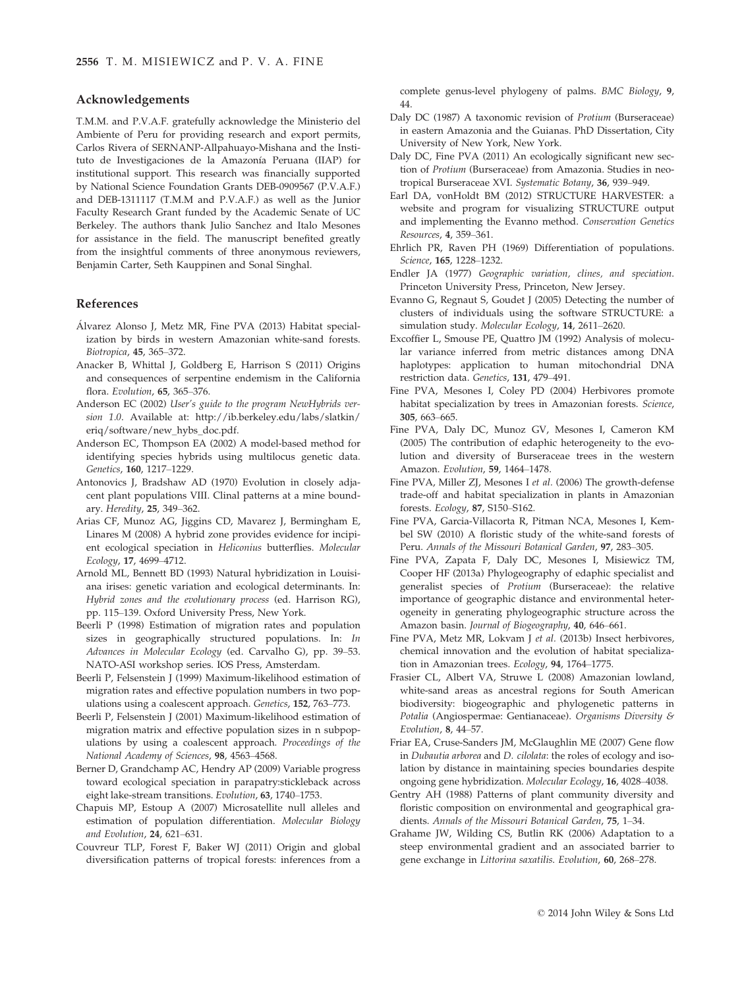## Acknowledgements

T.M.M. and P.V.A.F. gratefully acknowledge the Ministerio del Ambiente of Peru for providing research and export permits, Carlos Rivera of SERNANP-Allpahuayo-Mishana and the Instituto de Investigaciones de la Amazonía Peruana (IIAP) for institutional support. This research was financially supported by National Science Foundation Grants DEB-0909567 (P.V.A.F.) and DEB-1311117 (T.M.M and P.V.A.F.) as well as the Junior Faculty Research Grant funded by the Academic Senate of UC Berkeley. The authors thank Julio Sanchez and Italo Mesones for assistance in the field. The manuscript benefited greatly from the insightful comments of three anonymous reviewers, Benjamin Carter, Seth Kauppinen and Sonal Singhal.

## References

- Alvarez Alonso J, Metz MR, Fine PVA (2013) Habitat special- ization by birds in western Amazonian white-sand forests. Biotropica, 45, 365–372.
- Anacker B, Whittal J, Goldberg E, Harrison S (2011) Origins and consequences of serpentine endemism in the California flora. Evolution, 65, 365–376.
- Anderson EC (2002) User's guide to the program NewHybrids version 1.0. Available at: http://ib.berkeley.edu/labs/slatkin/ eriq/software/new\_hybs\_doc.pdf.
- Anderson EC, Thompson EA (2002) A model-based method for identifying species hybrids using multilocus genetic data. Genetics, 160, 1217–1229.
- Antonovics J, Bradshaw AD (1970) Evolution in closely adjacent plant populations VIII. Clinal patterns at a mine boundary. Heredity, 25, 349–362.
- Arias CF, Munoz AG, Jiggins CD, Mavarez J, Bermingham E, Linares M (2008) A hybrid zone provides evidence for incipient ecological speciation in Heliconius butterflies. Molecular Ecology, 17, 4699–4712.
- Arnold ML, Bennett BD (1993) Natural hybridization in Louisiana irises: genetic variation and ecological determinants. In: Hybrid zones and the evolutionary process (ed. Harrison RG), pp. 115–139. Oxford University Press, New York.
- Beerli P (1998) Estimation of migration rates and population sizes in geographically structured populations. In: In Advances in Molecular Ecology (ed. Carvalho G), pp. 39–53. NATO-ASI workshop series. IOS Press, Amsterdam.
- Beerli P, Felsenstein J (1999) Maximum-likelihood estimation of migration rates and effective population numbers in two populations using a coalescent approach. Genetics, 152, 763–773.
- Beerli P, Felsenstein J (2001) Maximum-likelihood estimation of migration matrix and effective population sizes in n subpopulations by using a coalescent approach. Proceedings of the National Academy of Sciences, 98, 4563–4568.
- Berner D, Grandchamp AC, Hendry AP (2009) Variable progress toward ecological speciation in parapatry:stickleback across eight lake-stream transitions. Evolution, 63, 1740–1753.
- Chapuis MP, Estoup A (2007) Microsatellite null alleles and estimation of population differentiation. Molecular Biology and Evolution, 24, 621–631.
- Couvreur TLP, Forest F, Baker WJ (2011) Origin and global diversification patterns of tropical forests: inferences from a

complete genus-level phylogeny of palms. BMC Biology, 9, 44.

- Daly DC (1987) A taxonomic revision of Protium (Burseraceae) in eastern Amazonia and the Guianas. PhD Dissertation, City University of New York, New York.
- Daly DC, Fine PVA (2011) An ecologically significant new section of Protium (Burseraceae) from Amazonia. Studies in neotropical Burseraceae XVI. Systematic Botany, 36, 939–949.
- Earl DA, vonHoldt BM (2012) STRUCTURE HARVESTER: a website and program for visualizing STRUCTURE output and implementing the Evanno method. Conservation Genetics Resources, 4, 359–361.
- Ehrlich PR, Raven PH (1969) Differentiation of populations. Science, 165, 1228–1232.
- Endler JA (1977) Geographic variation, clines, and speciation. Princeton University Press, Princeton, New Jersey.
- Evanno G, Regnaut S, Goudet J (2005) Detecting the number of clusters of individuals using the software STRUCTURE: a simulation study. Molecular Ecology, 14, 2611-2620.
- Excoffier L, Smouse PE, Quattro JM (1992) Analysis of molecular variance inferred from metric distances among DNA haplotypes: application to human mitochondrial DNA restriction data. Genetics, 131, 479–491.
- Fine PVA, Mesones I, Coley PD (2004) Herbivores promote habitat specialization by trees in Amazonian forests. Science, 305, 663–665.
- Fine PVA, Daly DC, Munoz GV, Mesones I, Cameron KM (2005) The contribution of edaphic heterogeneity to the evolution and diversity of Burseraceae trees in the western Amazon. Evolution, 59, 1464–1478.
- Fine PVA, Miller ZJ, Mesones I et al. (2006) The growth-defense trade-off and habitat specialization in plants in Amazonian forests. Ecology, 87, S150–S162.
- Fine PVA, Garcia-Villacorta R, Pitman NCA, Mesones I, Kembel SW (2010) A floristic study of the white-sand forests of Peru. Annals of the Missouri Botanical Garden, 97, 283–305.
- Fine PVA, Zapata F, Daly DC, Mesones I, Misiewicz TM, Cooper HF (2013a) Phylogeography of edaphic specialist and generalist species of Protium (Burseraceae): the relative importance of geographic distance and environmental heterogeneity in generating phylogeographic structure across the Amazon basin. Journal of Biogeography, 40, 646–661.
- Fine PVA, Metz MR, Lokvam J et al. (2013b) Insect herbivores, chemical innovation and the evolution of habitat specialization in Amazonian trees. Ecology, 94, 1764–1775.
- Frasier CL, Albert VA, Struwe L (2008) Amazonian lowland, white-sand areas as ancestral regions for South American biodiversity: biogeographic and phylogenetic patterns in Potalia (Angiospermae: Gentianaceae). Organisms Diversity & Evolution, 8, 44–57.
- Friar EA, Cruse-Sanders JM, McGlaughlin ME (2007) Gene flow in Dubautia arborea and D. cilolata: the roles of ecology and isolation by distance in maintaining species boundaries despite ongoing gene hybridization. Molecular Ecology, 16, 4028–4038.
- Gentry AH (1988) Patterns of plant community diversity and floristic composition on environmental and geographical gradients. Annals of the Missouri Botanical Garden, 75, 1–34.
- Grahame JW, Wilding CS, Butlin RK (2006) Adaptation to a steep environmental gradient and an associated barrier to gene exchange in Littorina saxatilis. Evolution, 60, 268–278.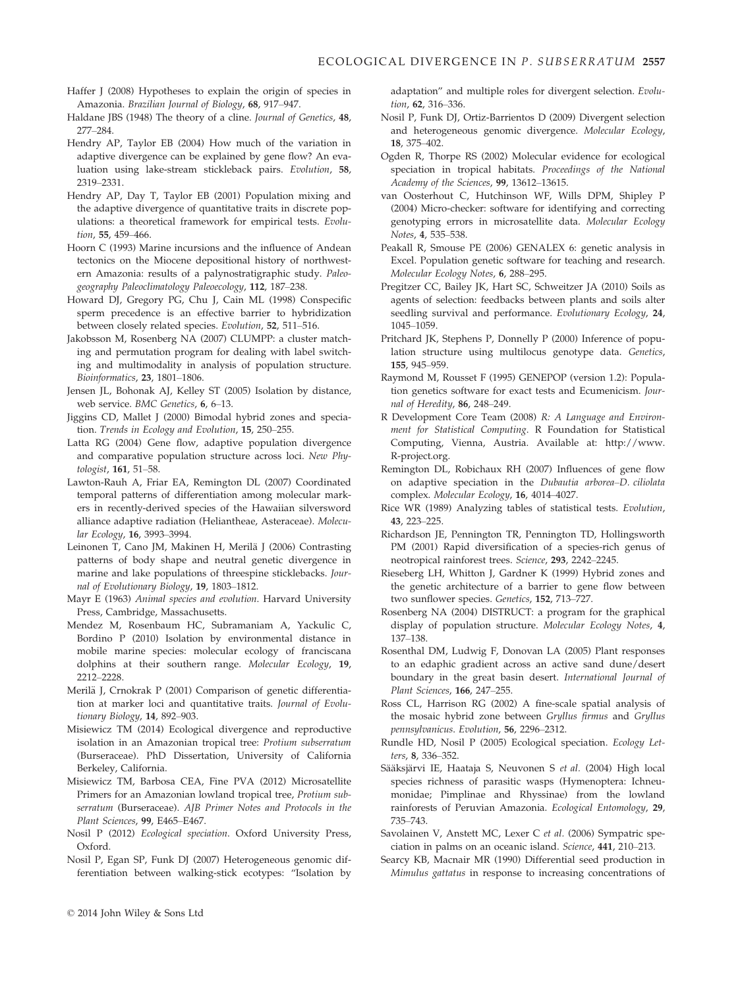- Haffer J (2008) Hypotheses to explain the origin of species in Amazonia. Brazilian Journal of Biology, 68, 917–947.
- Haldane JBS (1948) The theory of a cline. Journal of Genetics, 48, 277–284.
- Hendry AP, Taylor EB (2004) How much of the variation in adaptive divergence can be explained by gene flow? An evaluation using lake-stream stickleback pairs. Evolution, 58, 2319–2331.
- Hendry AP, Day T, Taylor EB (2001) Population mixing and the adaptive divergence of quantitative traits in discrete populations: a theoretical framework for empirical tests. Evolution, 55, 459-466.
- Hoorn C (1993) Marine incursions and the influence of Andean tectonics on the Miocene depositional history of northwestern Amazonia: results of a palynostratigraphic study. Paleogeography Paleoclimatology Paleoecology, 112, 187–238.
- Howard DJ, Gregory PG, Chu J, Cain ML (1998) Conspecific sperm precedence is an effective barrier to hybridization between closely related species. Evolution, 52, 511–516.
- Jakobsson M, Rosenberg NA (2007) CLUMPP: a cluster matching and permutation program for dealing with label switching and multimodality in analysis of population structure. Bioinformatics, 23, 1801–1806.
- Jensen JL, Bohonak AJ, Kelley ST (2005) Isolation by distance, web service. BMC Genetics, 6, 6–13.
- Jiggins CD, Mallet J (2000) Bimodal hybrid zones and speciation. Trends in Ecology and Evolution, 15, 250–255.
- Latta RG (2004) Gene flow, adaptive population divergence and comparative population structure across loci. New Phytologist, 161, 51–58.
- Lawton-Rauh A, Friar EA, Remington DL (2007) Coordinated temporal patterns of differentiation among molecular markers in recently-derived species of the Hawaiian silversword alliance adaptive radiation (Heliantheae, Asteraceae). Molecular Ecology, 16, 3993–3994.
- Leinonen T, Cano JM, Makinen H, Merilä J (2006) Contrasting patterns of body shape and neutral genetic divergence in marine and lake populations of threespine sticklebacks. Journal of Evolutionary Biology, 19, 1803–1812.
- Mayr E (1963) Animal species and evolution. Harvard University Press, Cambridge, Massachusetts.
- Mendez M, Rosenbaum HC, Subramaniam A, Yackulic C, Bordino P (2010) Isolation by environmental distance in mobile marine species: molecular ecology of franciscana dolphins at their southern range. Molecular Ecology, 19, 2212–2228.
- Merilä J, Crnokrak P (2001) Comparison of genetic differentiation at marker loci and quantitative traits. Journal of Evolutionary Biology, 14, 892–903.
- Misiewicz TM (2014) Ecological divergence and reproductive isolation in an Amazonian tropical tree: Protium subserratum (Burseraceae). PhD Dissertation, University of California Berkeley, California.
- Misiewicz TM, Barbosa CEA, Fine PVA (2012) Microsatellite Primers for an Amazonian lowland tropical tree, Protium subserratum (Burseraceae). AJB Primer Notes and Protocols in the Plant Sciences, 99, E465–E467.
- Nosil P (2012) Ecological speciation. Oxford University Press, Oxford.
- Nosil P, Egan SP, Funk DJ (2007) Heterogeneous genomic differentiation between walking-stick ecotypes: "Isolation by

adaptation" and multiple roles for divergent selection. Evolution, 62, 316–336.

- Nosil P, Funk DJ, Ortiz-Barrientos D (2009) Divergent selection and heterogeneous genomic divergence. Molecular Ecology, 18, 375–402.
- Ogden R, Thorpe RS (2002) Molecular evidence for ecological speciation in tropical habitats. Proceedings of the National Academy of the Sciences, 99, 13612–13615.
- van Oosterhout C, Hutchinson WF, Wills DPM, Shipley P (2004) Micro-checker: software for identifying and correcting genotyping errors in microsatellite data. Molecular Ecology Notes, 4, 535–538.
- Peakall R, Smouse PE (2006) GENALEX 6: genetic analysis in Excel. Population genetic software for teaching and research. Molecular Ecology Notes, 6, 288–295.
- Pregitzer CC, Bailey JK, Hart SC, Schweitzer JA (2010) Soils as agents of selection: feedbacks between plants and soils alter seedling survival and performance. Evolutionary Ecology, 24, 1045–1059.
- Pritchard JK, Stephens P, Donnelly P (2000) Inference of population structure using multilocus genotype data. Genetics, 155, 945–959.
- Raymond M, Rousset F (1995) GENEPOP (version 1.2): Population genetics software for exact tests and Ecumenicism. Journal of Heredity, 86, 248–249.
- R Development Core Team (2008) R: A Language and Environment for Statistical Computing. R Foundation for Statistical Computing, Vienna, Austria. Available at: http://www. R-project.org.
- Remington DL, Robichaux RH (2007) Influences of gene flow on adaptive speciation in the Dubautia arborea–D. ciliolata complex. Molecular Ecology, 16, 4014–4027.
- Rice WR (1989) Analyzing tables of statistical tests. Evolution, 43, 223–225.
- Richardson JE, Pennington TR, Pennington TD, Hollingsworth PM (2001) Rapid diversification of a species-rich genus of neotropical rainforest trees. Science, 293, 2242–2245.
- Rieseberg LH, Whitton J, Gardner K (1999) Hybrid zones and the genetic architecture of a barrier to gene flow between two sunflower species. Genetics, 152, 713–727.
- Rosenberg NA (2004) DISTRUCT: a program for the graphical display of population structure. Molecular Ecology Notes, 4, 137–138.
- Rosenthal DM, Ludwig F, Donovan LA (2005) Plant responses to an edaphic gradient across an active sand dune/desert boundary in the great basin desert. International Journal of Plant Sciences, 166, 247–255.
- Ross CL, Harrison RG (2002) A fine-scale spatial analysis of the mosaic hybrid zone between Gryllus firmus and Gryllus pennsylvanicus. Evolution, 56, 2296–2312.
- Rundle HD, Nosil P (2005) Ecological speciation. Ecology Letters, 8, 336–352.
- Sääksjärvi IE, Haataja S, Neuvonen S et al. (2004) High local species richness of parasitic wasps (Hymenoptera: Ichneumonidae; Pimplinae and Rhyssinae) from the lowland rainforests of Peruvian Amazonia. Ecological Entomology, 29, 735–743.
- Savolainen V, Anstett MC, Lexer C et al. (2006) Sympatric speciation in palms on an oceanic island. Science, 441, 210–213.
- Searcy KB, Macnair MR (1990) Differential seed production in Mimulus gattatus in response to increasing concentrations of